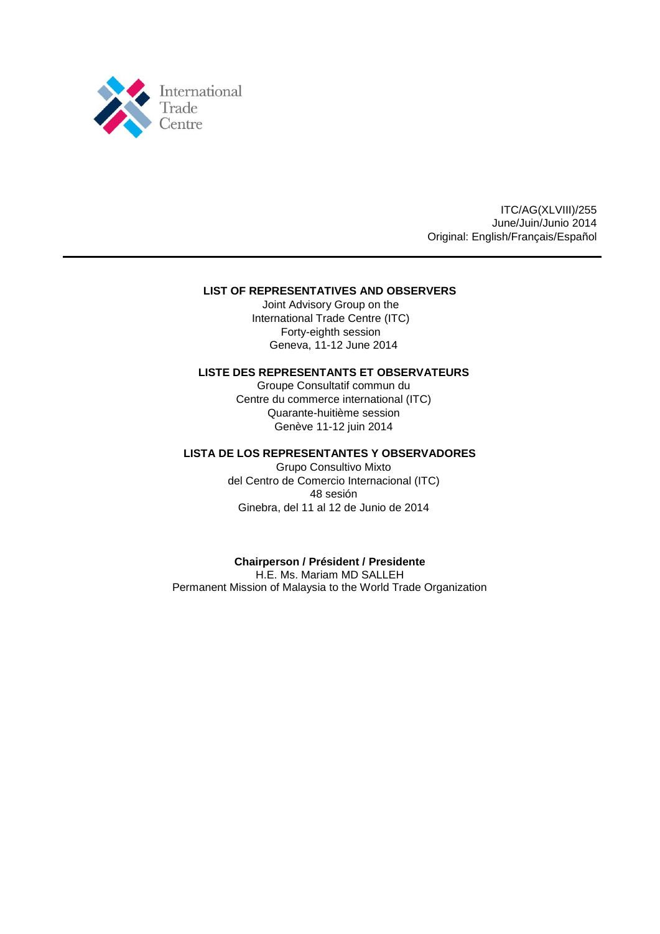

ITC/AG(XLVIII)/255 June/Juin/Junio 2014 Original: English/Français/Español

## **LIST OF REPRESENTATIVES AND OBSERVERS**

Joint Advisory Group on the International Trade Centre (ITC) Forty-eighth session Geneva, 11-12 June 2014

## **LISTE DES REPRESENTANTS ET OBSERVATEURS**

Groupe Consultatif commun du Centre du commerce international (ITC) Quarante-huitième session Genève 11-12 juin 2014

## **LISTA DE LOS REPRESENTANTES Y OBSERVADORES**

Grupo Consultivo Mixto del Centro de Comercio Internacional (ITC) 48 sesión Ginebra, del 11 al 12 de Junio de 2014

## **Chairperson / Président / Presidente**

H.E. Ms. Mariam MD SALLEH Permanent Mission of Malaysia to the World Trade Organization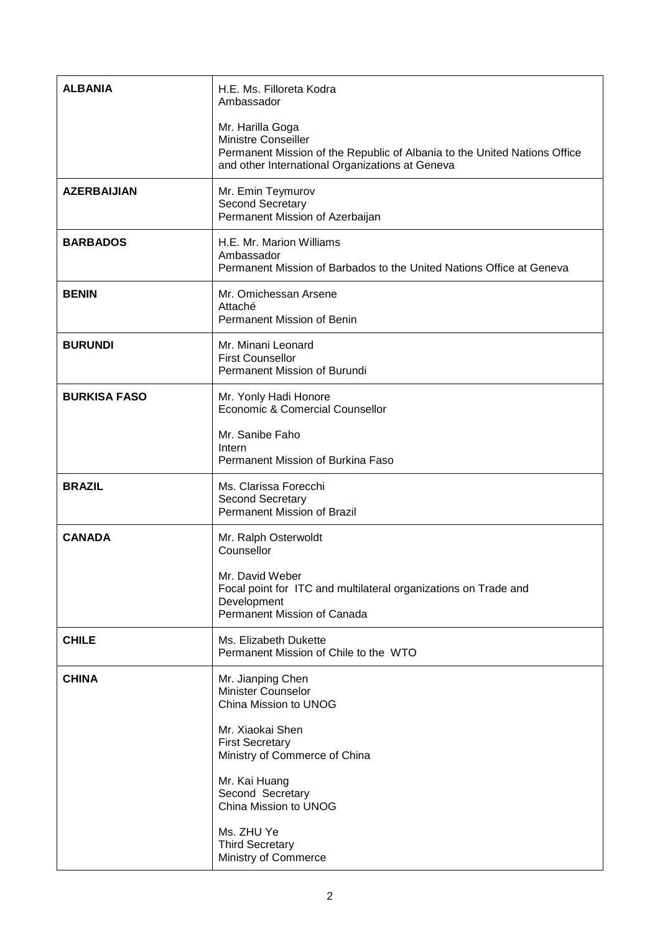| <b>ALBANIA</b>      | H.E. Ms. Filloreta Kodra<br>Ambassador                                                                                                                                         |
|---------------------|--------------------------------------------------------------------------------------------------------------------------------------------------------------------------------|
|                     | Mr. Harilla Goga<br><b>Ministre Conseiller</b><br>Permanent Mission of the Republic of Albania to the United Nations Office<br>and other International Organizations at Geneva |
| <b>AZERBAIJIAN</b>  | Mr. Emin Teymurov<br><b>Second Secretary</b><br>Permanent Mission of Azerbaijan                                                                                                |
| <b>BARBADOS</b>     | H.E. Mr. Marion Williams<br>Ambassador<br>Permanent Mission of Barbados to the United Nations Office at Geneva                                                                 |
| <b>BENIN</b>        | Mr. Omichessan Arsene<br>Attaché<br>Permanent Mission of Benin                                                                                                                 |
| <b>BURUNDI</b>      | Mr. Minani Leonard<br><b>First Counsellor</b><br>Permanent Mission of Burundi                                                                                                  |
| <b>BURKISA FASO</b> | Mr. Yonly Hadi Honore<br>Economic & Comercial Counsellor                                                                                                                       |
|                     | Mr. Sanibe Faho<br>Intern<br>Permanent Mission of Burkina Faso                                                                                                                 |
| <b>BRAZIL</b>       | Ms. Clarissa Forecchi<br><b>Second Secretary</b><br>Permanent Mission of Brazil                                                                                                |
| <b>CANADA</b>       | Mr. Ralph Osterwoldt<br>Counsellor                                                                                                                                             |
|                     | Mr. David Weber<br>Focal point for ITC and multilateral organizations on Trade and<br>Development<br>Permanent Mission of Canada                                               |
| <b>CHILE</b>        | Ms. Elizabeth Dukette<br>Permanent Mission of Chile to the WTO                                                                                                                 |
| <b>CHINA</b>        | Mr. Jianping Chen<br>Minister Counselor<br>China Mission to UNOG                                                                                                               |
|                     | Mr. Xiaokai Shen<br><b>First Secretary</b><br>Ministry of Commerce of China                                                                                                    |
|                     | Mr. Kai Huang<br>Second Secretary<br>China Mission to UNOG                                                                                                                     |
|                     | Ms. ZHU Ye<br><b>Third Secretary</b><br>Ministry of Commerce                                                                                                                   |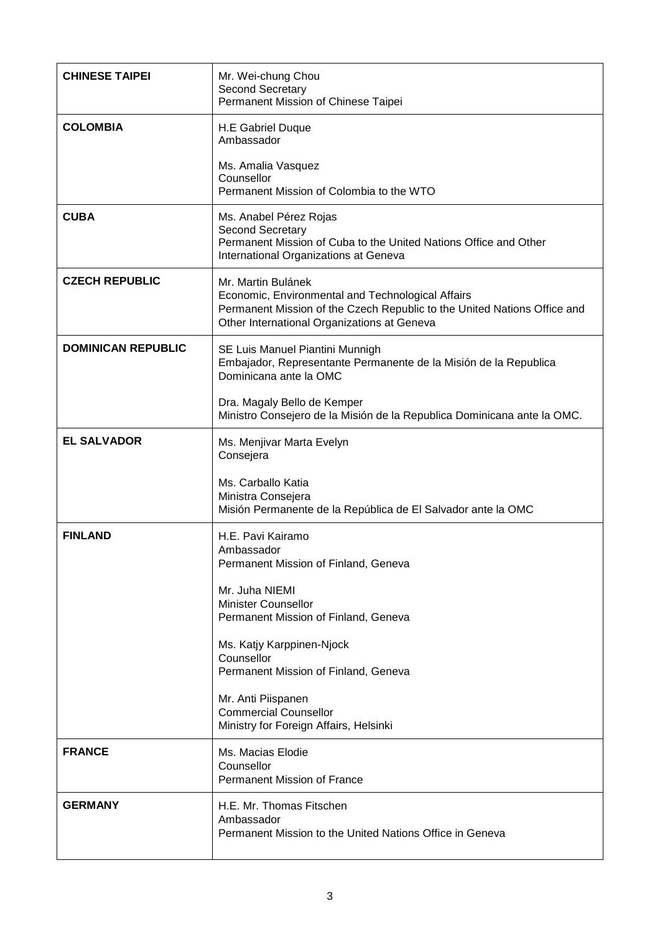| <b>CHINESE TAIPEI</b>     | Mr. Wei-chung Chou<br><b>Second Secretary</b><br>Permanent Mission of Chinese Taipei                                                                                                                                                                                                                                                               |
|---------------------------|----------------------------------------------------------------------------------------------------------------------------------------------------------------------------------------------------------------------------------------------------------------------------------------------------------------------------------------------------|
| <b>COLOMBIA</b>           | H.E Gabriel Duque<br>Ambassador<br>Ms. Amalia Vasquez<br>Counsellor<br>Permanent Mission of Colombia to the WTO                                                                                                                                                                                                                                    |
| <b>CUBA</b>               | Ms. Anabel Pérez Rojas<br><b>Second Secretary</b><br>Permanent Mission of Cuba to the United Nations Office and Other<br>International Organizations at Geneva                                                                                                                                                                                     |
| <b>CZECH REPUBLIC</b>     | Mr. Martin Bulánek<br>Economic, Environmental and Technological Affairs<br>Permanent Mission of the Czech Republic to the United Nations Office and<br>Other International Organizations at Geneva                                                                                                                                                 |
| <b>DOMINICAN REPUBLIC</b> | SE Luis Manuel Piantini Munnigh<br>Embajador, Representante Permanente de la Misión de la Republica<br>Dominicana ante la OMC<br>Dra. Magaly Bello de Kemper                                                                                                                                                                                       |
|                           | Ministro Consejero de la Misión de la Republica Dominicana ante la OMC.                                                                                                                                                                                                                                                                            |
| <b>EL SALVADOR</b>        | Ms. Menjivar Marta Evelyn<br>Consejera<br>Ms. Carballo Katia<br>Ministra Consejera<br>Misión Permanente de la República de El Salvador ante la OMC                                                                                                                                                                                                 |
| <b>FINLAND</b>            | H.E. Pavi Kairamo<br>Ambassador<br>Permanent Mission of Finland, Geneva<br>Mr. Juha NIEMI<br><b>Minister Counsellor</b><br>Permanent Mission of Finland, Geneva<br>Ms. Katjy Karppinen-Njock<br>Counsellor<br>Permanent Mission of Finland, Geneva<br>Mr. Anti Piispanen<br><b>Commercial Counsellor</b><br>Ministry for Foreign Affairs, Helsinki |
| <b>FRANCE</b>             | Ms. Macias Elodie<br>Counsellor<br><b>Permanent Mission of France</b>                                                                                                                                                                                                                                                                              |
| <b>GERMANY</b>            | H.E. Mr. Thomas Fitschen<br>Ambassador<br>Permanent Mission to the United Nations Office in Geneva                                                                                                                                                                                                                                                 |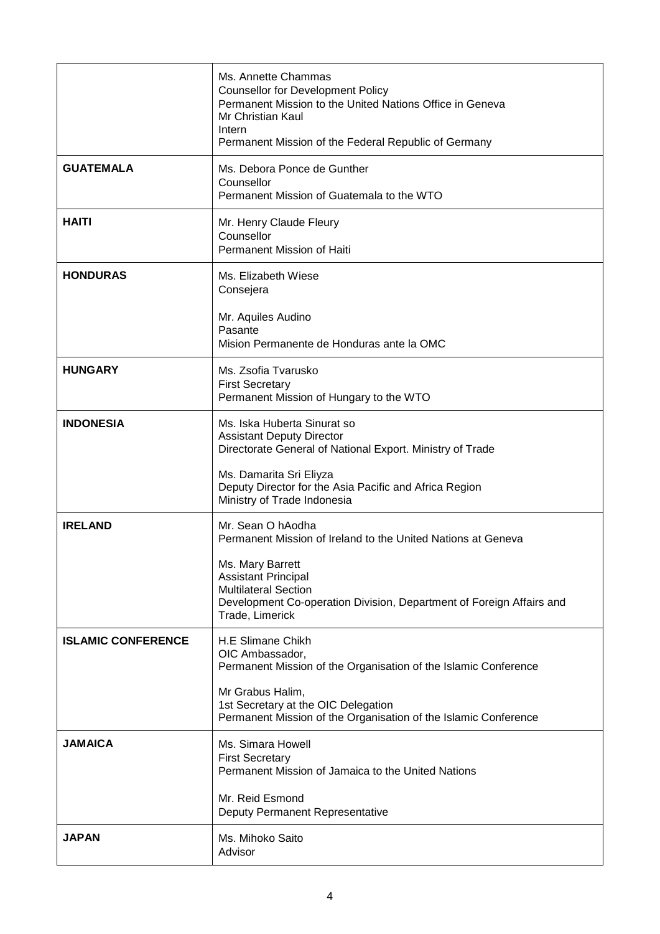|                           | Ms. Annette Chammas<br><b>Counsellor for Development Policy</b><br>Permanent Mission to the United Nations Office in Geneva<br>Mr Christian Kaul<br>Intern<br>Permanent Mission of the Federal Republic of Germany                                            |
|---------------------------|---------------------------------------------------------------------------------------------------------------------------------------------------------------------------------------------------------------------------------------------------------------|
| <b>GUATEMALA</b>          | Ms. Debora Ponce de Gunther<br>Counsellor<br>Permanent Mission of Guatemala to the WTO                                                                                                                                                                        |
| <b>HAITI</b>              | Mr. Henry Claude Fleury<br>Counsellor<br>Permanent Mission of Haiti                                                                                                                                                                                           |
| <b>HONDURAS</b>           | Ms. Elizabeth Wiese<br>Consejera<br>Mr. Aquiles Audino<br>Pasante<br>Mision Permanente de Honduras ante la OMC                                                                                                                                                |
| <b>HUNGARY</b>            | Ms. Zsofia Tvarusko<br><b>First Secretary</b><br>Permanent Mission of Hungary to the WTO                                                                                                                                                                      |
| <b>INDONESIA</b>          | Ms. Iska Huberta Sinurat so<br><b>Assistant Deputy Director</b><br>Directorate General of National Export. Ministry of Trade<br>Ms. Damarita Sri Eliyza<br>Deputy Director for the Asia Pacific and Africa Region<br>Ministry of Trade Indonesia              |
| <b>IRELAND</b>            | Mr. Sean O hAodha<br>Permanent Mission of Ireland to the United Nations at Geneva<br>Ms. Mary Barrett<br><b>Assistant Principal</b><br><b>Multilateral Section</b><br>Development Co-operation Division, Department of Foreign Affairs and<br>Trade, Limerick |
| <b>ISLAMIC CONFERENCE</b> | H.E Slimane Chikh<br>OIC Ambassador,<br>Permanent Mission of the Organisation of the Islamic Conference<br>Mr Grabus Halim,<br>1st Secretary at the OIC Delegation<br>Permanent Mission of the Organisation of the Islamic Conference                         |
| <b>JAMAICA</b>            | Ms. Simara Howell<br><b>First Secretary</b><br>Permanent Mission of Jamaica to the United Nations<br>Mr. Reid Esmond<br>Deputy Permanent Representative                                                                                                       |
| <b>JAPAN</b>              | Ms. Mihoko Saito<br>Advisor                                                                                                                                                                                                                                   |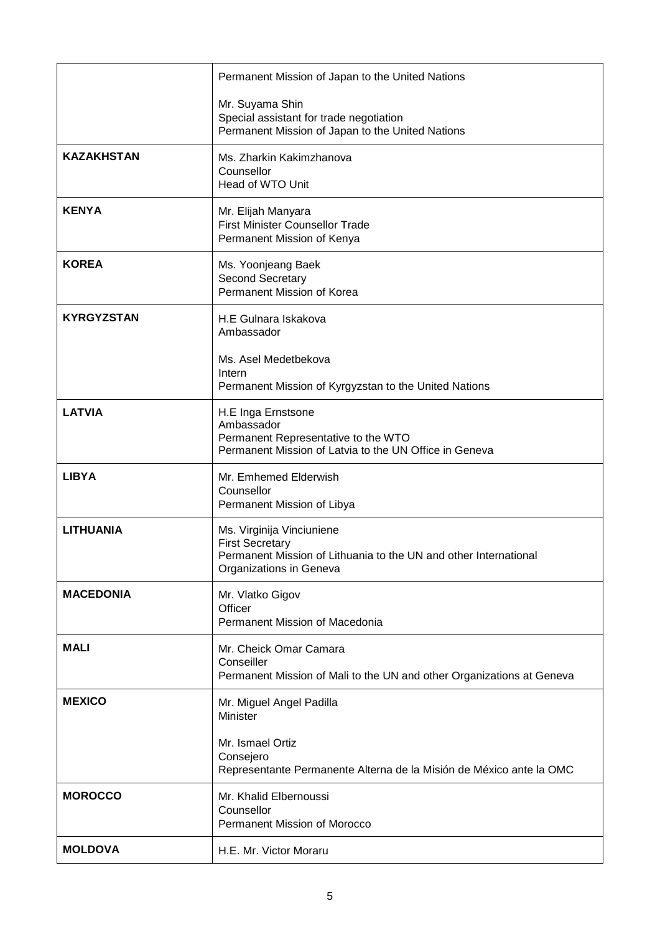|                   | Permanent Mission of Japan to the United Nations                                                                                                   |
|-------------------|----------------------------------------------------------------------------------------------------------------------------------------------------|
|                   | Mr. Suyama Shin<br>Special assistant for trade negotiation<br>Permanent Mission of Japan to the United Nations                                     |
| <b>KAZAKHSTAN</b> | Ms. Zharkin Kakimzhanova<br>Counsellor<br>Head of WTO Unit                                                                                         |
| <b>KENYA</b>      | Mr. Elijah Manyara<br>First Minister Counsellor Trade<br>Permanent Mission of Kenya                                                                |
| <b>KOREA</b>      | Ms. Yoonjeang Baek<br>Second Secretary<br>Permanent Mission of Korea                                                                               |
| <b>KYRGYZSTAN</b> | H.E Gulnara Iskakova<br>Ambassador                                                                                                                 |
|                   | Ms. Asel Medetbekova<br>Intern<br>Permanent Mission of Kyrgyzstan to the United Nations                                                            |
| <b>LATVIA</b>     | H.E Inga Ernstsone<br>Ambassador<br>Permanent Representative to the WTO<br>Permanent Mission of Latvia to the UN Office in Geneva                  |
| <b>LIBYA</b>      | Mr. Emhemed Elderwish<br>Counsellor<br>Permanent Mission of Libya                                                                                  |
| <b>LITHUANIA</b>  | Ms. Virginija Vinciuniene<br><b>First Secretary</b><br>Permanent Mission of Lithuania to the UN and other International<br>Organizations in Geneva |
| <b>MACEDONIA</b>  | Mr. Vlatko Gigov<br>Officer<br>Permanent Mission of Macedonia                                                                                      |
| <b>MALI</b>       | Mr. Cheick Omar Camara<br>Conseiller<br>Permanent Mission of Mali to the UN and other Organizations at Geneva                                      |
| <b>MEXICO</b>     | Mr. Miguel Angel Padilla<br>Minister                                                                                                               |
|                   | Mr. Ismael Ortiz<br>Consejero<br>Representante Permanente Alterna de la Misión de México ante la OMC                                               |
| <b>MOROCCO</b>    | Mr. Khalid Elbernoussi<br>Counsellor<br><b>Permanent Mission of Morocco</b>                                                                        |
| <b>MOLDOVA</b>    | H.E. Mr. Victor Moraru                                                                                                                             |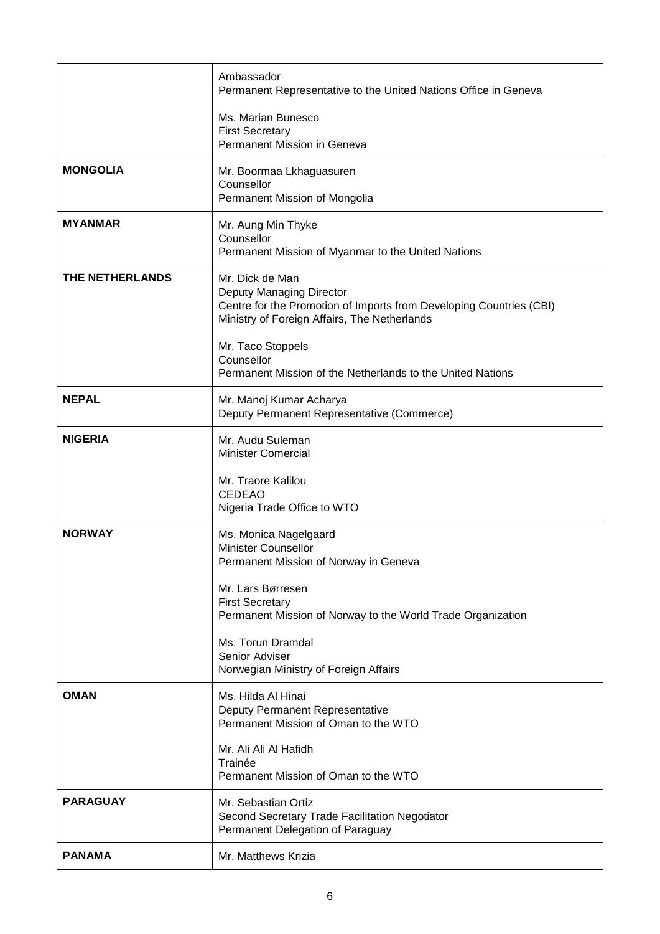|                 | Ambassador<br>Permanent Representative to the United Nations Office in Geneva                                                                                      |
|-----------------|--------------------------------------------------------------------------------------------------------------------------------------------------------------------|
|                 | Ms. Marian Bunesco<br><b>First Secretary</b><br>Permanent Mission in Geneva                                                                                        |
| <b>MONGOLIA</b> | Mr. Boormaa Lkhaguasuren<br>Counsellor<br>Permanent Mission of Mongolia                                                                                            |
| <b>MYANMAR</b>  | Mr. Aung Min Thyke<br>Counsellor<br>Permanent Mission of Myanmar to the United Nations                                                                             |
| THE NETHERLANDS | Mr. Dick de Man<br>Deputy Managing Director<br>Centre for the Promotion of Imports from Developing Countries (CBI)<br>Ministry of Foreign Affairs, The Netherlands |
|                 | Mr. Taco Stoppels<br>Counsellor<br>Permanent Mission of the Netherlands to the United Nations                                                                      |
| <b>NEPAL</b>    | Mr. Manoj Kumar Acharya<br>Deputy Permanent Representative (Commerce)                                                                                              |
| <b>NIGERIA</b>  | Mr. Audu Suleman<br><b>Minister Comercial</b>                                                                                                                      |
|                 | Mr. Traore Kalilou<br><b>CEDEAO</b><br>Nigeria Trade Office to WTO                                                                                                 |
| <b>NORWAY</b>   | Ms. Monica Nagelgaard<br><b>Minister Counsellor</b><br>Permanent Mission of Norway in Geneva                                                                       |
|                 | Mr. Lars Børresen<br><b>First Secretary</b><br>Permanent Mission of Norway to the World Trade Organization                                                         |
|                 | Ms. Torun Dramdal<br>Senior Adviser<br>Norwegian Ministry of Foreign Affairs                                                                                       |
| <b>OMAN</b>     | Ms. Hilda Al Hinai<br>Deputy Permanent Representative<br>Permanent Mission of Oman to the WTO                                                                      |
|                 | Mr. Ali Ali Al Hafidh<br>Trainée<br>Permanent Mission of Oman to the WTO                                                                                           |
| <b>PARAGUAY</b> | Mr. Sebastian Ortiz<br>Second Secretary Trade Facilitation Negotiator<br>Permanent Delegation of Paraguay                                                          |
| <b>PANAMA</b>   | Mr. Matthews Krizia                                                                                                                                                |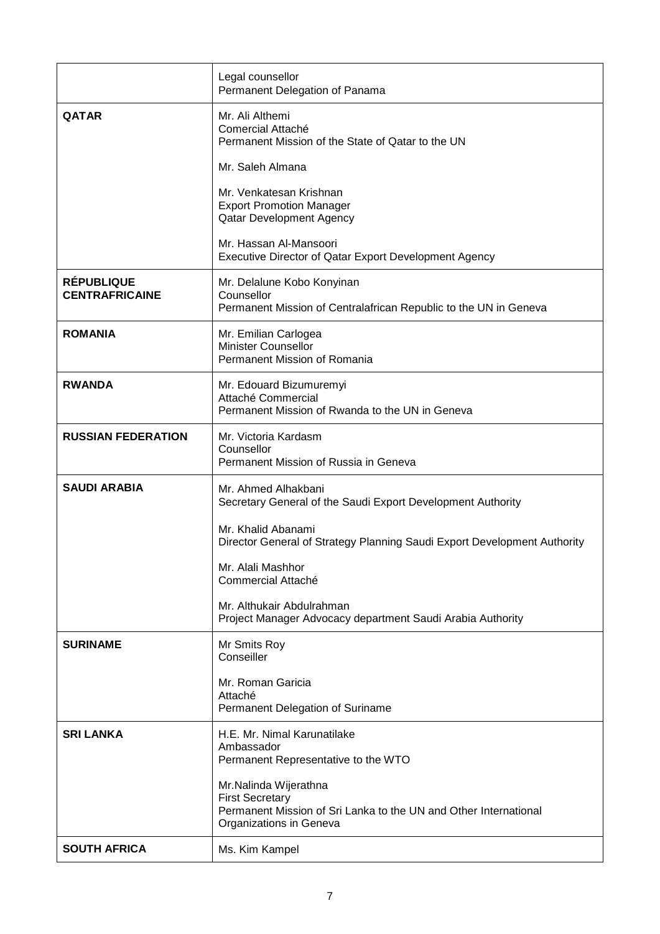|                                            | Legal counsellor<br>Permanent Delegation of Panama                                                                                             |
|--------------------------------------------|------------------------------------------------------------------------------------------------------------------------------------------------|
| <b>QATAR</b>                               | Mr. Ali Althemi<br>Comercial Attaché<br>Permanent Mission of the State of Qatar to the UN                                                      |
|                                            | Mr. Saleh Almana                                                                                                                               |
|                                            | Mr. Venkatesan Krishnan<br><b>Export Promotion Manager</b><br><b>Qatar Development Agency</b>                                                  |
|                                            | Mr. Hassan Al-Mansoori<br>Executive Director of Qatar Export Development Agency                                                                |
| <b>RÉPUBLIQUE</b><br><b>CENTRAFRICAINE</b> | Mr. Delalune Kobo Konyinan<br>Counsellor<br>Permanent Mission of Centralafrican Republic to the UN in Geneva                                   |
| <b>ROMANIA</b>                             | Mr. Emilian Carlogea<br><b>Minister Counsellor</b><br>Permanent Mission of Romania                                                             |
| <b>RWANDA</b>                              | Mr. Edouard Bizumuremyi<br>Attaché Commercial<br>Permanent Mission of Rwanda to the UN in Geneva                                               |
| <b>RUSSIAN FEDERATION</b>                  | Mr. Victoria Kardasm<br>Counsellor<br>Permanent Mission of Russia in Geneva                                                                    |
| <b>SAUDI ARABIA</b>                        | Mr. Ahmed Alhakbani<br>Secretary General of the Saudi Export Development Authority                                                             |
|                                            | Mr. Khalid Abanami<br>Director General of Strategy Planning Saudi Export Development Authority                                                 |
|                                            | Mr. Alali Mashhor<br>Commercial Attaché                                                                                                        |
|                                            | Mr. Althukair Abdulrahman<br>Project Manager Advocacy department Saudi Arabia Authority                                                        |
| <b>SURINAME</b>                            | Mr Smits Roy<br>Conseiller                                                                                                                     |
|                                            | Mr. Roman Garicia<br>Attaché<br>Permanent Delegation of Suriname                                                                               |
| <b>SRI LANKA</b>                           | H.E. Mr. Nimal Karunatilake<br>Ambassador<br>Permanent Representative to the WTO                                                               |
|                                            | Mr.Nalinda Wijerathna<br><b>First Secretary</b><br>Permanent Mission of Sri Lanka to the UN and Other International<br>Organizations in Geneva |
| <b>SOUTH AFRICA</b>                        | Ms. Kim Kampel                                                                                                                                 |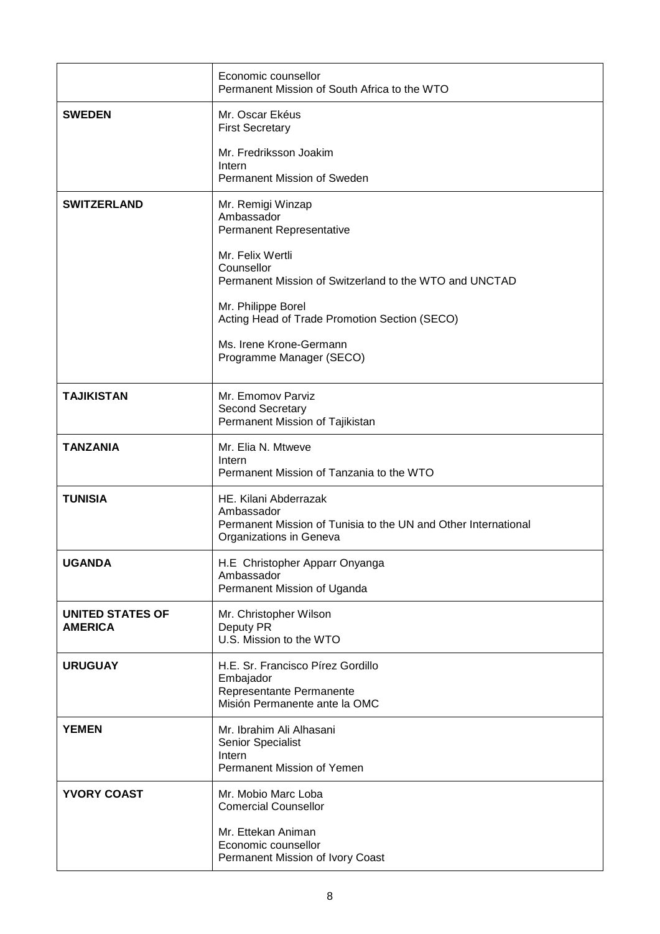|                                           | Economic counsellor<br>Permanent Mission of South Africa to the WTO                                                              |
|-------------------------------------------|----------------------------------------------------------------------------------------------------------------------------------|
| <b>SWEDEN</b>                             | Mr. Oscar Ekéus<br><b>First Secretary</b>                                                                                        |
|                                           | Mr. Fredriksson Joakim<br>Intern<br>Permanent Mission of Sweden                                                                  |
| <b>SWITZERLAND</b>                        | Mr. Remigi Winzap<br>Ambassador<br>Permanent Representative                                                                      |
|                                           | Mr. Felix Wertli<br>Counsellor<br>Permanent Mission of Switzerland to the WTO and UNCTAD                                         |
|                                           | Mr. Philippe Borel<br>Acting Head of Trade Promotion Section (SECO)                                                              |
|                                           | Ms. Irene Krone-Germann<br>Programme Manager (SECO)                                                                              |
| <b>TAJIKISTAN</b>                         | Mr. Emomov Parviz<br>Second Secretary<br>Permanent Mission of Tajikistan                                                         |
| <b>TANZANIA</b>                           | Mr. Elia N. Mtweve<br>Intern<br>Permanent Mission of Tanzania to the WTO                                                         |
| <b>TUNISIA</b>                            | HE. Kilani Abderrazak<br>Ambassador<br>Permanent Mission of Tunisia to the UN and Other International<br>Organizations in Geneva |
| <b>UGANDA</b>                             | H.E Christopher Apparr Onyanga<br>Ambassador<br>Permanent Mission of Uganda                                                      |
| <b>UNITED STATES OF</b><br><b>AMERICA</b> | Mr. Christopher Wilson<br>Deputy PR<br>U.S. Mission to the WTO                                                                   |
| <b>URUGUAY</b>                            | H.E. Sr. Francisco Pírez Gordillo<br>Embajador<br>Representante Permanente<br>Misión Permanente ante la OMC                      |
| <b>YEMEN</b>                              | Mr. Ibrahim Ali Alhasani<br>Senior Specialist<br>Intern<br>Permanent Mission of Yemen                                            |
| <b>YVORY COAST</b>                        | Mr. Mobio Marc Loba<br><b>Comercial Counsellor</b>                                                                               |
|                                           | Mr. Ettekan Animan<br>Economic counsellor<br>Permanent Mission of Ivory Coast                                                    |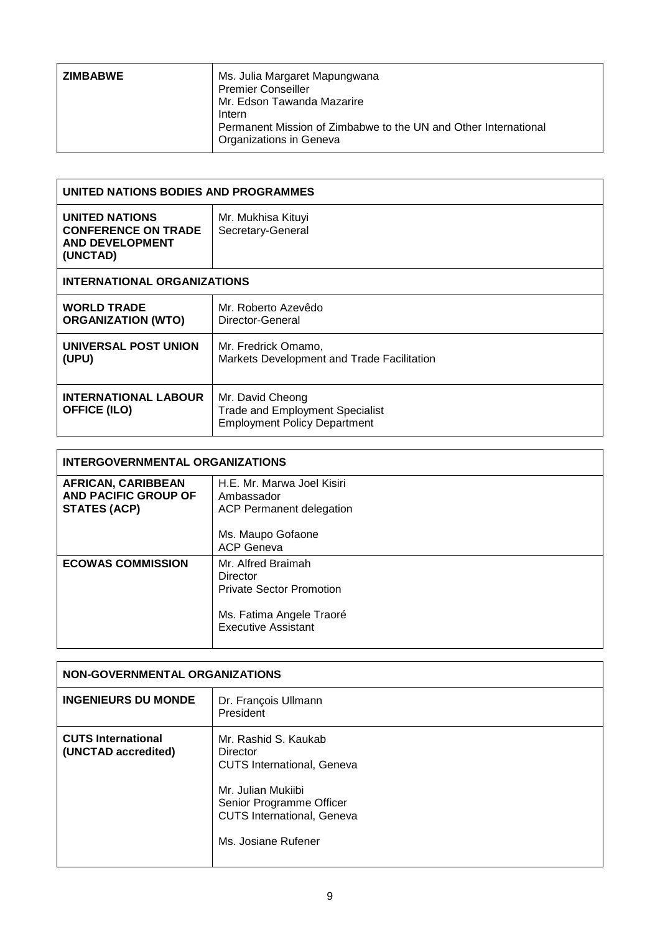| Permanent Mission of Zimbabwe to the UN and Other International |
|-----------------------------------------------------------------|
|                                                                 |
|                                                                 |

| UNITED NATIONS BODIES AND PROGRAMMES                                                      |                                                                                                   |
|-------------------------------------------------------------------------------------------|---------------------------------------------------------------------------------------------------|
| <b>UNITED NATIONS</b><br><b>CONFERENCE ON TRADE</b><br><b>AND DEVELOPMENT</b><br>(UNCTAD) | Mr. Mukhisa Kituyi<br>Secretary-General                                                           |
| <b>INTERNATIONAL ORGANIZATIONS</b>                                                        |                                                                                                   |
| <b>WORLD TRADE</b><br><b>ORGANIZATION (WTO)</b>                                           | Mr. Roberto Azevêdo<br>Director-General                                                           |
| UNIVERSAL POST UNION<br>(UPU)                                                             | Mr. Fredrick Omamo,<br>Markets Development and Trade Facilitation                                 |
| <b>INTERNATIONAL LABOUR</b><br><b>OFFICE (ILO)</b>                                        | Mr. David Cheong<br><b>Trade and Employment Specialist</b><br><b>Employment Policy Department</b> |

| <b>INTERGOVERNMENTAL ORGANIZATIONS</b>                                   |                                                                                                                             |
|--------------------------------------------------------------------------|-----------------------------------------------------------------------------------------------------------------------------|
| <b>AFRICAN, CARIBBEAN</b><br>AND PACIFIC GROUP OF<br><b>STATES (ACP)</b> | H.E. Mr. Marwa Joel Kisiri<br>Ambassador<br><b>ACP Permanent delegation</b>                                                 |
|                                                                          | Ms. Maupo Gofaone<br><b>ACP Geneva</b>                                                                                      |
| <b>ECOWAS COMMISSION</b>                                                 | Mr. Alfred Braimah<br>Director<br><b>Private Sector Promotion</b><br>Ms. Fatima Angele Traoré<br><b>Executive Assistant</b> |

┑

| NON-GOVERNMENTAL ORGANIZATIONS                   |                                                                                                                                                                                     |
|--------------------------------------------------|-------------------------------------------------------------------------------------------------------------------------------------------------------------------------------------|
| <b>INGENIEURS DU MONDE</b>                       | Dr. François Ullmann<br>President                                                                                                                                                   |
| <b>CUTS International</b><br>(UNCTAD accredited) | Mr. Rashid S. Kaukab<br>Director<br><b>CUTS International, Geneva</b><br>Mr. Julian Mukiibi<br>Senior Programme Officer<br><b>CUTS International, Geneva</b><br>Ms. Josiane Rufener |